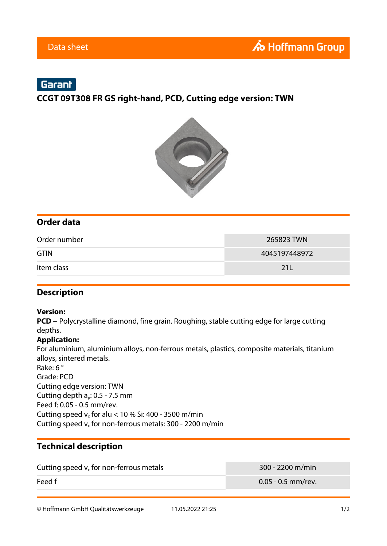# Garant

**CCGT 09T308 FR GS right-hand, PCD, Cutting edge version: TWN**



## **Order data**

| Order number | 265823 TWN    |
|--------------|---------------|
| <b>GTIN</b>  | 4045197448972 |
| Item class   | 21 L          |

### **Description**

#### **Version:**

**PCD** − Polycrystalline diamond, fine grain. Roughing, stable cutting edge for large cutting depths.

#### **Application:**

For aluminium, aluminium alloys, non-ferrous metals, plastics, composite materials, titanium alloys, sintered metals. Rake: 6 ° Grade: PCD Cutting edge version: TWN Cutting depth  $a_p$ : 0.5 - 7.5 mm Feed f: 0.05 - 0.5 mm/rev. Cutting speed  $v_c$  for alu < 10 % Si: 400 - 3500 m/min Cutting speed  $v_c$  for non-ferrous metals: 300 - 2200 m/min

## **Technical description**

| Cutting speed $v_c$ for non-ferrous metals | $300 - 2200$ m/min   |
|--------------------------------------------|----------------------|
| Feed f                                     | $0.05$ - 0.5 mm/rev. |

© Hoffmann GmbH Qualitätswerkzeuge 11.05.2022 21:25 1/2